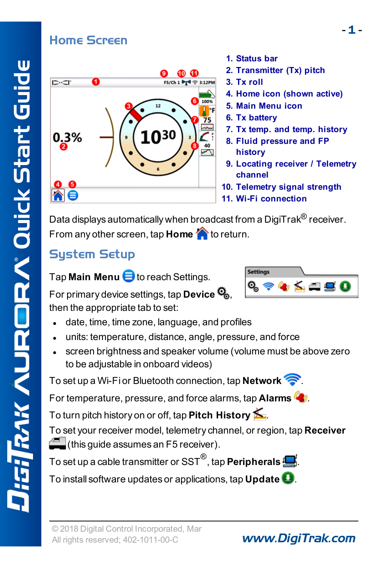### <span id="page-0-0"></span>Home Screen



- **1. Status bar**
- **2. Transmitter (Tx) pitch**
- **3. Tx roll**
- **4. Home icon (shown active)**
- **5. Main Menu icon**
- **6. Tx battery**
- **7. Tx temp. and temp. history**
- **8. Fluid pressure and FP history**
- **9. Locating receiver / Telemetry channel**
- **10. Telemetry signal strength**
- **11. Wi-Fi connection**

Data displays automatically when broadcast from a DigiTrak<sup>®</sup> receiver. From any other screen, tap **Home there** to return.

### **Sustem Setup**

Tap **Main Menu** to reach Settings.

Setting:  $\mathbf{y} \not\leq \mathbf{a}$  ,  $\mathbf{c}$ 

For primary device settings, tap **Device** , then the appropriate tab to set:

- date, time, time zone, language, and profiles
- units: temperature, distance, angle, pressure, and force
- screen brightness and speaker volume (volume must be above zero to be adjustable in onboard videos)

To set up a Wi-Fi or Bluetooth connection, tap **Network** .

For temperature, pressure, and force alarms, tap **Alarms** .

To turn pitch history on or off, tap **Pitch History** .

To set your receiver model, telemetry channel, or region, tap **Receiver**  $\epsilon$  (this quide assumes an F5 receiver).

To set up <sup>a</sup> cable transmitter or SST® , tap **Peripherals** .

To install software updates or applications, tap **Update** .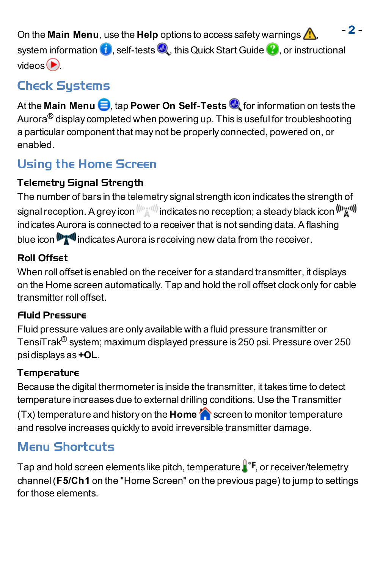- 2 <sup>-</sup> On the **Main Menu**, use the **Help** options to access safety warnings  $\Lambda$ , system information  $\bigcirc$ , self-tests  $\bigcirc$ , this Quick Start Guide  $\bigcirc$ , or instructional videos  $\bigcirc$ 

### **Check Sustems**

At the **Main Menu**  $\bigoplus$ , tap **Power On Self-Tests**  $\bigotimes$  for information on tests the Aurora $^{\circledR}$  display completed when powering up. This is useful for troubleshooting a particular component that may not be properly connected, powered on, or enabled.

## Using the Home Screen

#### Telemetry Signal Strength

The number of bars in the telemetry signal strength icon indicates the strength of signal reception. A grey icon  $^{(((\wedge_2\wedge 1))})}$  indicates no reception; a steady black icon  $^{((\wedge_{\mathbb{Z}}\wedge 1))}$ indicates Aurora is connected to a receiver that is not sending data. A flashing blue icon  $\mathbb{F}$  indicates Aurora is receiving new data from the receiver.

#### Roll Offset

When roll offset is enabled on the receiver for a standard transmitter, it displays on the Home screen automatically. Tap and hold the roll offset clock only for cable transmitter roll offset.

#### Fluid Pressure

Fluid pressure values are only available with a fluid pressure transmitter or TensiTrak® system; maximum displayed pressure is 250 psi. Pressure over 250 psi displays as **+OL**.

#### **Temperature**

Because the digital thermometer is inside the transmitter, it takes time to detect temperature increases due to external drilling conditions. Use the Transmitter (Tx) temperature and history on the **Home** screen to monitor temperature and resolve increases quickly to avoid irreversible transmitter damage.

## Menu Shortcuts

Tap and hold screen elements like pitch, temperature  $\mathbf{I}^*$  or receiver/telemetry channel(**F5/Ch1** on the "Home Screen" on the [previous](#page-0-0) page) to jump to settings for those elements.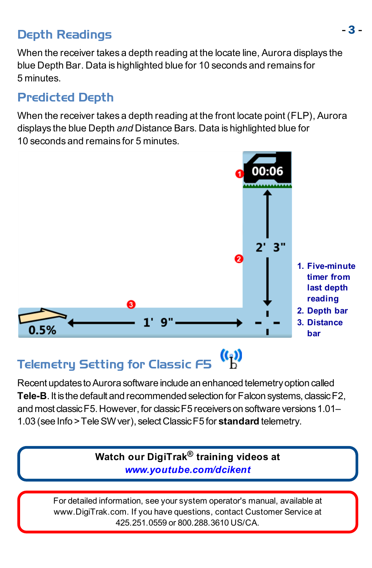## - <sup>3</sup> - Depth Readings

When the receiver takes a depth reading at the locate line, Aurora displays the blue Depth Bar. Data is highlighted blue for 10 seconds and remains for 5 minutes.

### Predicted Depth

When the receiver takes a depth reading at the front locate point (FLP), Aurora displays the blue Depth *and* Distance Bars. Data is highlighted blue for 10 seconds and remains for 5 minutes.



#### $\binom{r}{r}$ Telemetry Setting for Classic F5

Recent updates to Aurora software include an enhanced telemetry option called **Tele-B**. It isthe default and recommended selection for Falcon systems, classicF2, and most classicF5.However, for classicF5 receiverson software versions1.01– 1.03 (see Info >TeleSWver), selectClassicF5 for **standard** telemetry.

> **Watch our DigiTrak® training videos at** *[www.youtube.com/dcikent](http://www.youtube.com/dcikent)*

For detailed information, see your system operator's manual, available at [www.DigiTrak.com](http://www.digitrak.com/). If you have questions, contact Customer Service at 425.251.0559 or 800.288.3610 US/CA.